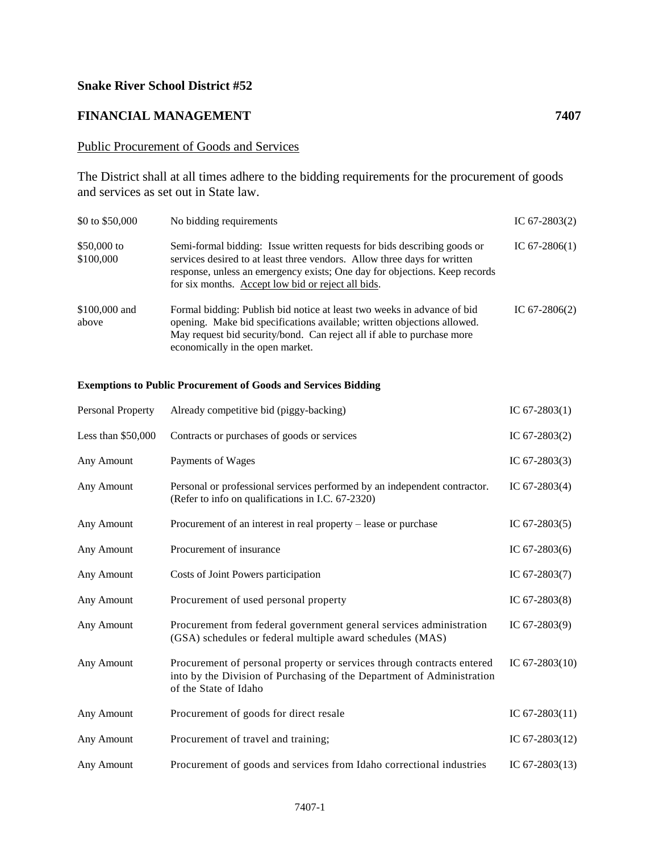## **Snake River School District #52**

## **FINANCIAL MANAGEMENT 7407**

## Public Procurement of Goods and Services

The District shall at all times adhere to the bidding requirements for the procurement of goods and services as set out in State law.

| \$0 to \$50,000          | No bidding requirements                                                                                                                                                                                                                                                                  | IC $67-2803(2)$ |
|--------------------------|------------------------------------------------------------------------------------------------------------------------------------------------------------------------------------------------------------------------------------------------------------------------------------------|-----------------|
| \$50,000 to<br>\$100,000 | Semi-formal bidding: Issue written requests for bids describing goods or<br>services desired to at least three vendors. Allow three days for written<br>response, unless an emergency exists; One day for objections. Keep records<br>for six months. Accept low bid or reject all bids. | IC $67-2806(1)$ |
| \$100,000 and<br>above   | Formal bidding: Publish bid notice at least two weeks in advance of bid<br>opening. Make bid specifications available; written objections allowed.<br>May request bid security/bond. Can reject all if able to purchase more<br>economically in the open market.                         | IC $67-2806(2)$ |

## **Exemptions to Public Procurement of Goods and Services Bidding**

| Personal Property   | Already competitive bid (piggy-backing)                                                                                                                                   | IC $67-2803(1)$  |
|---------------------|---------------------------------------------------------------------------------------------------------------------------------------------------------------------------|------------------|
| Less than $$50,000$ | Contracts or purchases of goods or services                                                                                                                               | IC $67-2803(2)$  |
| Any Amount          | Payments of Wages                                                                                                                                                         | IC $67-2803(3)$  |
| Any Amount          | Personal or professional services performed by an independent contractor.<br>(Refer to info on qualifications in I.C. 67-2320)                                            | IC $67-2803(4)$  |
| Any Amount          | Procurement of an interest in real property – lease or purchase                                                                                                           | IC $67-2803(5)$  |
| Any Amount          | Procurement of insurance                                                                                                                                                  | IC $67-2803(6)$  |
| Any Amount          | Costs of Joint Powers participation                                                                                                                                       | IC $67-2803(7)$  |
| Any Amount          | Procurement of used personal property                                                                                                                                     | IC $67-2803(8)$  |
| Any Amount          | Procurement from federal government general services administration<br>(GSA) schedules or federal multiple award schedules (MAS)                                          | IC $67-2803(9)$  |
| Any Amount          | Procurement of personal property or services through contracts entered<br>into by the Division of Purchasing of the Department of Administration<br>of the State of Idaho | IC $67-2803(10)$ |
| Any Amount          | Procurement of goods for direct resale                                                                                                                                    | IC $67-2803(11)$ |
| Any Amount          | Procurement of travel and training;                                                                                                                                       | IC $67-2803(12)$ |
| Any Amount          | Procurement of goods and services from Idaho correctional industries                                                                                                      | IC $67-2803(13)$ |